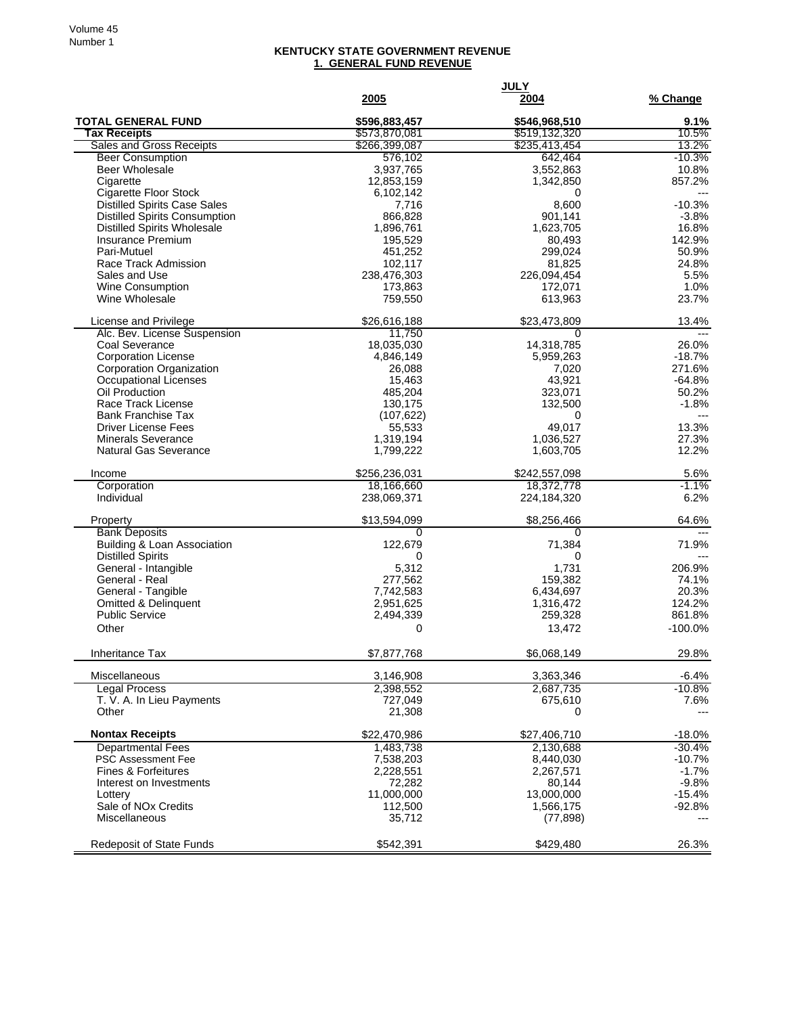## **KENTUCKY STATE GOVERNMENT REVENUE 1. GENERAL FUND REVENUE**

|                                                          | 2005                      | <b>JULY</b><br>2004    | % Change            |
|----------------------------------------------------------|---------------------------|------------------------|---------------------|
| <b>TOTAL GENERAL FUND</b>                                | \$596,883,457             | \$546,968,510          | 9.1%                |
| <b>Tax Receipts</b>                                      | \$573,870,081             | \$519,132,320          | 10.5%               |
| Sales and Gross Receipts                                 | \$266,399,087             | \$235,413,454          | 13.2%               |
| <b>Beer Consumption</b>                                  | 576,102                   | 642,464                | $-10.3%$            |
| <b>Beer Wholesale</b><br>Cigarette                       | 3,937,765<br>12,853,159   | 3,552,863<br>1,342,850 | 10.8%<br>857.2%     |
| <b>Cigarette Floor Stock</b>                             | 6,102,142                 | 0                      | $\overline{a}$      |
| <b>Distilled Spirits Case Sales</b>                      | 7,716                     | 8,600                  | $-10.3%$            |
| <b>Distilled Spirits Consumption</b>                     | 866,828                   | 901,141                | $-3.8%$             |
| <b>Distilled Spirits Wholesale</b>                       | 1,896,761                 | 1,623,705              | 16.8%               |
| <b>Insurance Premium</b><br>Pari-Mutuel                  | 195,529                   | 80,493<br>299,024      | 142.9%<br>50.9%     |
| Race Track Admission                                     | 451,252<br>102,117        | 81,825                 | 24.8%               |
| Sales and Use                                            | 238,476,303               | 226,094,454            | 5.5%                |
| <b>Wine Consumption</b>                                  | 173,863                   | 172,071                | 1.0%                |
| Wine Wholesale                                           | 759,550                   | 613,963                | 23.7%               |
| License and Privilege                                    | \$26,616,188              | \$23,473,809           | 13.4%               |
| Alc. Bev. License Suspension<br>Coal Severance           | 11,750<br>18,035,030      | 0<br>14,318,785        | 26.0%               |
| <b>Corporation License</b>                               | 4,846,149                 | 5,959,263              | $-18.7%$            |
| Corporation Organization                                 | 26,088                    | 7,020                  | 271.6%              |
| Occupational Licenses                                    | 15,463                    | 43,921                 | $-64.8%$            |
| Oil Production                                           | 485,204                   | 323,071                | 50.2%               |
| Race Track License<br><b>Bank Franchise Tax</b>          | 130,175                   | 132,500                | $-1.8%$<br>$---$    |
| <b>Driver License Fees</b>                               | (107, 622)<br>55,533      | 0<br>49,017            | 13.3%               |
| <b>Minerals Severance</b>                                | 1,319,194                 | 1,036,527              | 27.3%               |
| Natural Gas Severance                                    | 1,799,222                 | 1,603,705              | 12.2%               |
| Income                                                   | \$256,236,031             | \$242,557,098          | 5.6%                |
| Corporation<br>Individual                                | 18,166,660<br>238,069,371 | 18,372,778             | $-1.1%$<br>6.2%     |
|                                                          |                           | 224,184,320            |                     |
| Property                                                 | \$13,594,099<br>$\Omega$  | \$8,256,466<br>0       | 64.6%               |
| <b>Bank Deposits</b><br>Building & Loan Association      | 122,679                   | 71,384                 | 71.9%               |
| <b>Distilled Spirits</b>                                 | 0                         | 0                      |                     |
| General - Intangible                                     | 5,312                     | 1,731                  | 206.9%              |
| General - Real                                           | 277,562                   | 159,382                | 74.1%               |
| General - Tangible                                       | 7,742,583                 | 6,434,697              | 20.3%               |
| <b>Omitted &amp; Delinquent</b><br><b>Public Service</b> | 2,951,625<br>2,494,339    | 1,316,472<br>259,328   | 124.2%<br>861.8%    |
| Other                                                    | 0                         | 13,472                 | $-100.0%$           |
|                                                          |                           |                        |                     |
| Inheritance Tax                                          | \$7,877,768               | \$6,068,149            | 29.8%               |
| Miscellaneous<br><b>Legal Process</b>                    | 3,146,908<br>2,398,552    | 3,363,346<br>2,687,735 | $-6.4%$<br>$-10.8%$ |
| T. V. A. In Lieu Payments                                | 727,049                   | 675,610                | 7.6%                |
| Other                                                    | 21,308                    | 0                      | ---                 |
| <b>Nontax Receipts</b>                                   | \$22,470,986              | \$27,406,710           | $-18.0%$            |
| <b>Departmental Fees</b>                                 | 1.483.738                 | 2,130,688              | $-30.4%$            |
| PSC Assessment Fee<br>Fines & Forfeitures                | 7,538,203                 | 8,440,030<br>2,267,571 | $-10.7%$<br>$-1.7%$ |
| Interest on Investments                                  | 2,228,551<br>72,282       | 80,144                 | $-9.8%$             |
| Lottery                                                  | 11,000,000                | 13,000,000             | $-15.4%$            |
| Sale of NO <sub>x</sub> Credits                          | 112,500                   | 1,566,175              | $-92.8%$            |
| Miscellaneous                                            | 35,712                    | (77, 898)              |                     |
| Redeposit of State Funds                                 | \$542,391                 | \$429,480              | 26.3%               |